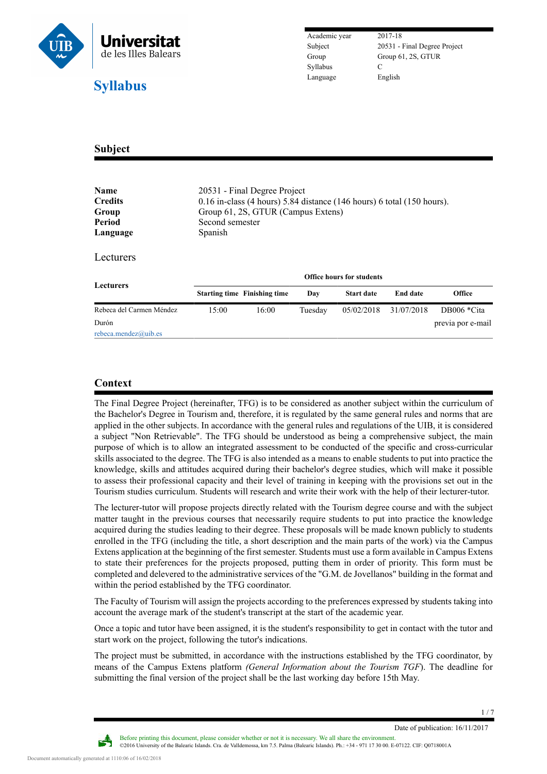

Subject 20531 - Final Degree Project Group Group 61, 2S, GTUR

## **Subject**

| Name<br><b>Credits</b><br>Group<br>Period | 20531 - Final Degree Project<br>$0.16$ in-class (4 hours) 5.84 distance (146 hours) 6 total (150 hours).<br>Group 61, 2S, GTUR (Campus Extens)<br>Second semester |                                     |         |                   |                 |                   |  |
|-------------------------------------------|-------------------------------------------------------------------------------------------------------------------------------------------------------------------|-------------------------------------|---------|-------------------|-----------------|-------------------|--|
| Language                                  | <b>Spanish</b>                                                                                                                                                    |                                     |         |                   |                 |                   |  |
| Lecturers                                 |                                                                                                                                                                   |                                     |         |                   |                 |                   |  |
| <b>Lecturers</b>                          | <b>Office hours for students</b>                                                                                                                                  |                                     |         |                   |                 |                   |  |
|                                           |                                                                                                                                                                   | <b>Starting time</b> Finishing time | Day     | <b>Start date</b> | <b>End date</b> | Office            |  |
| Rebeca del Carmen Méndez                  | 15:00                                                                                                                                                             | 16:00                               | Tuesday | 05/02/2018        | 31/07/2018      | DB006 *Cita       |  |
| Durón<br>rebeca.mendez@uib.es             |                                                                                                                                                                   |                                     |         |                   |                 | previa por e-mail |  |

## **Context**

The Final Degree Project (hereinafter, TFG) is to be considered as another subject within the curriculum of the Bachelor's Degree in Tourism and, therefore, it is regulated by the same general rules and norms that are applied in the other subjects. In accordance with the general rules and regulations of the UIB, it is considered a subject "Non Retrievable". The TFG should be understood as being a comprehensive subject, the main purpose of which is to allow an integrated assessment to be conducted of the specific and cross-curricular skills associated to the degree. The TFG is also intended as a means to enable students to put into practice the knowledge, skills and attitudes acquired during their bachelor's degree studies, which will make it possible to assess their professional capacity and their level of training in keeping with the provisions set out in the Tourism studies curriculum. Students will research and write their work with the help of their lecturer-tutor.

The lecturer-tutor will propose projects directly related with the Tourism degree course and with the subject matter taught in the previous courses that necessarily require students to put into practice the knowledge acquired during the studies leading to their degree. These proposals will be made known publicly to students enrolled in the TFG (including the title, a short description and the main parts of the work) via the Campus Extens application at the beginning of the first semester. Students must use a form available in Campus Extens to state their preferences for the projects proposed, putting them in order of priority. This form must be completed and delevered to the administrative services of the "G.M. de Jovellanos" building in the format and within the period established by the TFG coordinator.

The Faculty of Tourism will assign the projects according to the preferences expressed by students taking into account the average mark of the student's transcript at the start of the academic year.

Once a topic and tutor have been assigned, it is the student's responsibility to get in contact with the tutor and start work on the project, following the tutor's indications.

The project must be submitted, in accordance with the instructions established by the TFG coordinator, by means of the Campus Extens platform *(General Information about the Tourism TGF*). The deadline for submitting the final version of the project shall be the last working day before 15th May.

Date of publication: 16/11/2017



Before printing this document, please consider whether or not it is necessary. We all share the environment. ©2016 University of the Balearic Islands. Cra. de Valldemossa, km 7.5. Palma (Balearic Islands). Ph.: +34 - 971 17 30 00. E-07122. CIF: Q0718001A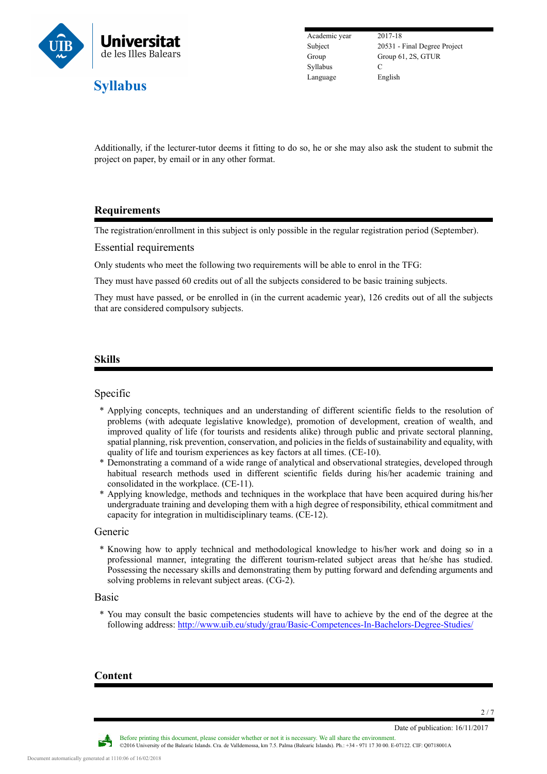

Academic year 2017-18 Syllabus C Language English

Subject 20531 - Final Degree Project Group Group 61, 2S, GTUR

Additionally, if the lecturer-tutor deems it fitting to do so, he or she may also ask the student to submit the project on paper, by email or in any other format.

## **Requirements**

The registration/enrollment in this subject is only possible in the regular registration period (September).

Essential requirements

Only students who meet the following two requirements will be able to enrol in the TFG:

They must have passed 60 credits out of all the subjects considered to be basic training subjects.

They must have passed, or be enrolled in (in the current academic year), 126 credits out of all the subjects that are considered compulsory subjects.

### **Skills**

### Specific

- \* Applying concepts, techniques and an understanding of different scientific fields to the resolution of problems (with adequate legislative knowledge), promotion of development, creation of wealth, and improved quality of life (for tourists and residents alike) through public and private sectoral planning, spatial planning, risk prevention, conservation, and policies in the fields of sustainability and equality, with quality of life and tourism experiences as key factors at all times. (CE-10).
- \* Demonstrating a command of a wide range of analytical and observational strategies, developed through habitual research methods used in different scientific fields during his/her academic training and consolidated in the workplace. (CE-11).
- \* Applying knowledge, methods and techniques in the workplace that have been acquired during his/her undergraduate training and developing them with a high degree of responsibility, ethical commitment and capacity for integration in multidisciplinary teams. (CE-12).

#### Generic

\* Knowing how to apply technical and methodological knowledge to his/her work and doing so in a professional manner, integrating the different tourism-related subject areas that he/she has studied. Possessing the necessary skills and demonstrating them by putting forward and defending arguments and solving problems in relevant subject areas. (CG-2).

#### Basic

\* You may consult the basic competencies students will have to achieve by the end of the degree at the following address: <http://www.uib.eu/study/grau/Basic-Competences-In-Bachelors-Degree-Studies/>

### **Content**

Date of publication: 16/11/2017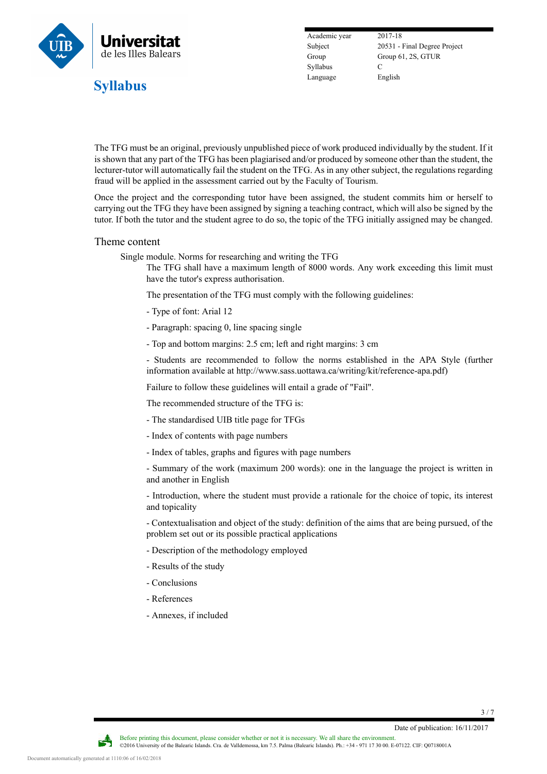

Academic year 2017-18 Syllabus C Language English

Subject 20531 - Final Degree Project Group Group 61, 2S, GTUR

The TFG must be an original, previously unpublished piece of work produced individually by the student. If it is shown that any part of the TFG has been plagiarised and/or produced by someone other than the student, the lecturer-tutor will automatically fail the student on the TFG. As in any other subject, the regulations regarding fraud will be applied in the assessment carried out by the Faculty of Tourism.

Once the project and the corresponding tutor have been assigned, the student commits him or herself to carrying out the TFG they have been assigned by signing a teaching contract, which will also be signed by the tutor. If both the tutor and the student agree to do so, the topic of the TFG initially assigned may be changed.

#### Theme content

Single module. Norms for researching and writing the TFG

The TFG shall have a maximum length of 8000 words. Any work exceeding this limit must have the tutor's express authorisation.

The presentation of the TFG must comply with the following guidelines:

- Type of font: Arial 12
- Paragraph: spacing 0, line spacing single
- Top and bottom margins: 2.5 cm; left and right margins: 3 cm

- Students are recommended to follow the norms established in the APA Style (further information available at http://www.sass.uottawa.ca/writing/kit/reference-apa.pdf)

Failure to follow these guidelines will entail a grade of "Fail".

The recommended structure of the TFG is:

- The standardised UIB title page for TFGs
- Index of contents with page numbers
- Index of tables, graphs and figures with page numbers

- Summary of the work (maximum 200 words): one in the language the project is written in and another in English

- Introduction, where the student must provide a rationale for the choice of topic, its interest and topicality

- Contextualisation and object of the study: definition of the aims that are being pursued, of the problem set out or its possible practical applications

- Description of the methodology employed
- Results of the study
- Conclusions
- References
- Annexes, if included

3 / 7

Date of publication: 16/11/2017

Before printing this document, please consider whether or not it is necessary. We all share the environment. ©2016 University of the Balearic Islands. Cra. de Valldemossa, km 7.5. Palma (Balearic Islands). Ph.: +34 - 971 17 30 00. E-07122. CIF: Q0718001A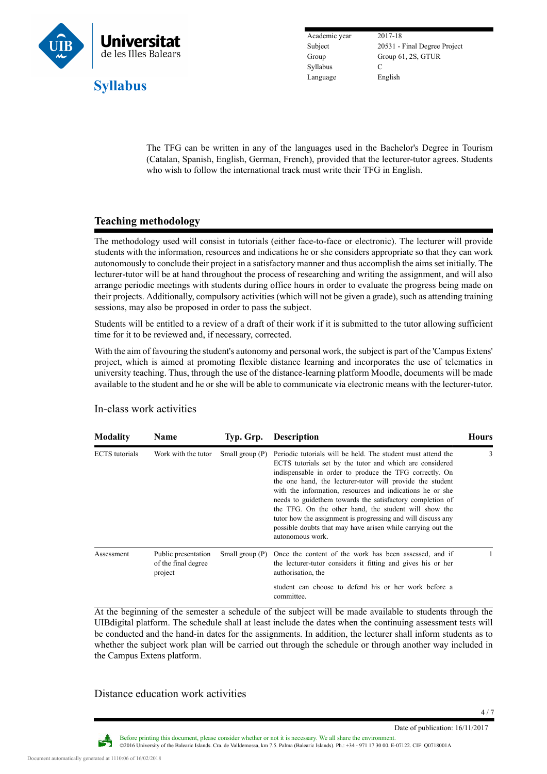

Academic year 2017-18 Syllabus C Language English

Subject 20531 - Final Degree Project Group Group 61, 2S, GTUR

The TFG can be written in any of the languages used in the Bachelor's Degree in Tourism (Catalan, Spanish, English, German, French), provided that the lecturer-tutor agrees. Students who wish to follow the international track must write their TFG in English.

## **Teaching methodology**

The methodology used will consist in tutorials (either face-to-face or electronic). The lecturer will provide students with the information, resources and indications he or she considers appropriate so that they can work autonomously to conclude their project in a satisfactory manner and thus accomplish the aims set initially. The lecturer-tutor will be at hand throughout the process of researching and writing the assignment, and will also arrange periodic meetings with students during office hours in order to evaluate the progress being made on their projects. Additionally, compulsory activities (which will not be given a grade), such as attending training sessions, may also be proposed in order to pass the subject.

Students will be entitled to a review of a draft of their work if it is submitted to the tutor allowing sufficient time for it to be reviewed and, if necessary, corrected.

With the aim of favouring the student's autonomy and personal work, the subject is part of the 'Campus Extens' project, which is aimed at promoting flexible distance learning and incorporates the use of telematics in university teaching. Thus, through the use of the distance-learning platform Moodle, documents will be made available to the student and he or she will be able to communicate via electronic means with the lecturer-tutor.

| <b>Modality</b>       | <b>Name</b>                                           | Typ. Grp.         | <b>Description</b>                                                                                                                                                                                                                                                                                                                                                                                                                                                                                                                                                                      | <b>Hours</b> |
|-----------------------|-------------------------------------------------------|-------------------|-----------------------------------------------------------------------------------------------------------------------------------------------------------------------------------------------------------------------------------------------------------------------------------------------------------------------------------------------------------------------------------------------------------------------------------------------------------------------------------------------------------------------------------------------------------------------------------------|--------------|
| <b>ECTS</b> tutorials | Work with the tutor                                   | Small group $(P)$ | Periodic tutorials will be held. The student must attend the<br>ECTS tutorials set by the tutor and which are considered<br>indispensable in order to produce the TFG correctly. On<br>the one hand, the lecturer-tutor will provide the student<br>with the information, resources and indications he or she<br>needs to guide them towards the satisfactory completion of<br>the TFG. On the other hand, the student will show the<br>tutor how the assignment is progressing and will discuss any<br>possible doubts that may have arisen while carrying out the<br>autonomous work. | 3            |
| Assessment            | Public presentation<br>of the final degree<br>project | Small group $(P)$ | Once the content of the work has been assessed, and if<br>the lecturer-tutor considers it fitting and gives his or her<br>authorisation, the                                                                                                                                                                                                                                                                                                                                                                                                                                            |              |
|                       |                                                       |                   | student can choose to defend his or her work before a<br>committee.                                                                                                                                                                                                                                                                                                                                                                                                                                                                                                                     |              |

#### In-class work activities

At the beginning of the semester a schedule of the subject will be made available to students through the UIBdigital platform. The schedule shall at least include the dates when the continuing assessment tests will be conducted and the hand-in dates for the assignments. In addition, the lecturer shall inform students as to whether the subject work plan will be carried out through the schedule or through another way included in the Campus Extens platform.

Distance education work activities

Date of publication: 16/11/2017

Before printing this document, please consider whether or not it is necessary. We all share the environment. ©2016 University of the Balearic Islands. Cra. de Valldemossa, km 7.5. Palma (Balearic Islands). Ph.: +34 - 971 17 30 00. E-07122. CIF: Q0718001A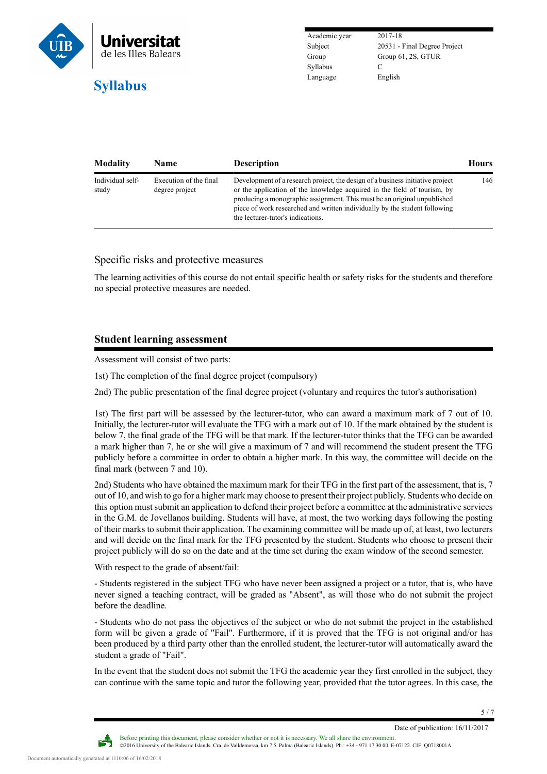

Academic year 2017-18 Syllabus C Language English

Subject 20531 - Final Degree Project Group Group 61, 2S, GTUR

| <b>Modality</b>           | <b>Name</b>                              | <b>Description</b>                                                                                                                                                                                                                                                                                                                                        | <b>Hours</b> |
|---------------------------|------------------------------------------|-----------------------------------------------------------------------------------------------------------------------------------------------------------------------------------------------------------------------------------------------------------------------------------------------------------------------------------------------------------|--------------|
| Individual self-<br>study | Execution of the final<br>degree project | Development of a research project, the design of a business initiative project<br>or the application of the knowledge acquired in the field of tourism, by<br>producing a monographic assignment. This must be an original unpublished<br>piece of work researched and written individually by the student following<br>the lecturer-tutor's indications. | 146          |

### Specific risks and protective measures

The learning activities of this course do not entail specific health or safety risks for the students and therefore no special protective measures are needed.

## **Student learning assessment**

Assessment will consist of two parts:

1st) The completion of the final degree project (compulsory)

2nd) The public presentation of the final degree project (voluntary and requires the tutor's authorisation)

1st) The first part will be assessed by the lecturer-tutor, who can award a maximum mark of 7 out of 10. Initially, the lecturer-tutor will evaluate the TFG with a mark out of 10. If the mark obtained by the student is below 7, the final grade of the TFG will be that mark. If the lecturer-tutor thinks that the TFG can be awarded a mark higher than 7, he or she will give a maximum of 7 and will recommend the student present the TFG publicly before a committee in order to obtain a higher mark. In this way, the committee will decide on the final mark (between 7 and 10).

2nd) Students who have obtained the maximum mark for their TFG in the first part of the assessment, that is, 7 out of 10, and wish to go for a higher mark may choose to present their project publicly. Students who decide on this option must submit an application to defend their project before a committee at the administrative services in the G.M. de Jovellanos building. Students will have, at most, the two working days following the posting of their marks to submit their application. The examining committee will be made up of, at least, two lecturers and will decide on the final mark for the TFG presented by the student. Students who choose to present their project publicly will do so on the date and at the time set during the exam window of the second semester.

With respect to the grade of absent/fail:

- Students registered in the subject TFG who have never been assigned a project or a tutor, that is, who have never signed a teaching contract, will be graded as "Absent", as will those who do not submit the project before the deadline.

- Students who do not pass the objectives of the subject or who do not submit the project in the established form will be given a grade of "Fail". Furthermore, if it is proved that the TFG is not original and/or has been produced by a third party other than the enrolled student, the lecturer-tutor will automatically award the student a grade of "Fail".

In the event that the student does not submit the TFG the academic year they first enrolled in the subject, they can continue with the same topic and tutor the following year, provided that the tutor agrees. In this case, the

©2016 University of the Balearic Islands. Cra. de Valldemossa, km 7.5. Palma (Balearic Islands). Ph.: +34 - 971 17 30 00. E-07122. CIF: Q0718001A

Before printing this document, please consider whether or not it is necessary. We all share the environment.

5 / 7

Date of publication: 16/11/2017

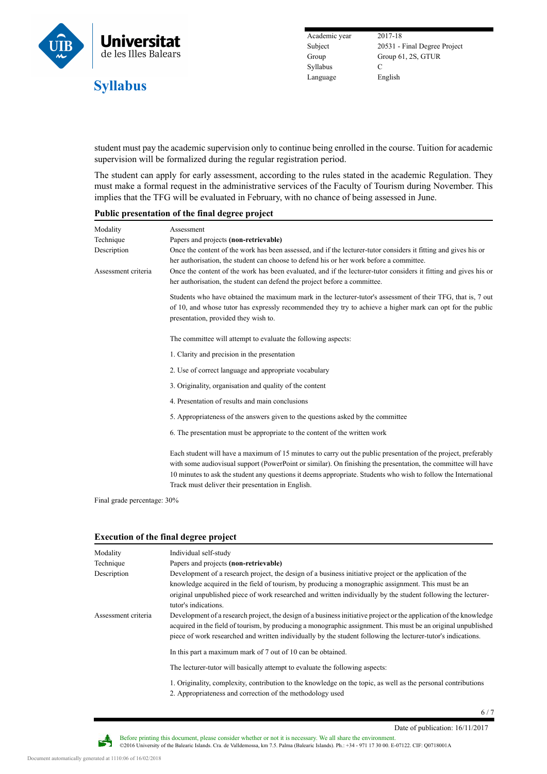

Academic year 2017-18 Syllabus C Language English

Subject 20531 - Final Degree Project Group Group 61, 2S, GTUR

student must pay the academic supervision only to continue being enrolled in the course. Tuition for academic supervision will be formalized during the regular registration period.

The student can apply for early assessment, according to the rules stated in the academic Regulation. They must make a formal request in the administrative services of the Faculty of Tourism during November. This implies that the TFG will be evaluated in February, with no chance of being assessed in June.

#### **Public presentation of the final degree project**

| Modality            | Assessment                                                                                                                                                                                                                                                                                                                                                                                              |  |  |  |
|---------------------|---------------------------------------------------------------------------------------------------------------------------------------------------------------------------------------------------------------------------------------------------------------------------------------------------------------------------------------------------------------------------------------------------------|--|--|--|
| Technique           | Papers and projects (non-retrievable)                                                                                                                                                                                                                                                                                                                                                                   |  |  |  |
| Description         | Once the content of the work has been assessed, and if the lecturer-tutor considers it fitting and gives his or                                                                                                                                                                                                                                                                                         |  |  |  |
|                     | her authorisation, the student can choose to defend his or her work before a committee.                                                                                                                                                                                                                                                                                                                 |  |  |  |
| Assessment criteria | Once the content of the work has been evaluated, and if the lecturer-tutor considers it fitting and gives his or<br>her authorisation, the student can defend the project before a committee.                                                                                                                                                                                                           |  |  |  |
|                     | Students who have obtained the maximum mark in the lecturer-tutor's assessment of their TFG, that is, 7 out                                                                                                                                                                                                                                                                                             |  |  |  |
|                     | of 10, and whose tutor has expressly recommended they try to achieve a higher mark can opt for the public<br>presentation, provided they wish to.                                                                                                                                                                                                                                                       |  |  |  |
|                     | The committee will attempt to evaluate the following aspects:                                                                                                                                                                                                                                                                                                                                           |  |  |  |
|                     | 1. Clarity and precision in the presentation                                                                                                                                                                                                                                                                                                                                                            |  |  |  |
|                     | 2. Use of correct language and appropriate vocabulary                                                                                                                                                                                                                                                                                                                                                   |  |  |  |
|                     | 3. Originality, organisation and quality of the content                                                                                                                                                                                                                                                                                                                                                 |  |  |  |
|                     | 4. Presentation of results and main conclusions                                                                                                                                                                                                                                                                                                                                                         |  |  |  |
|                     | 5. Appropriateness of the answers given to the questions asked by the committee                                                                                                                                                                                                                                                                                                                         |  |  |  |
|                     | 6. The presentation must be appropriate to the content of the written work                                                                                                                                                                                                                                                                                                                              |  |  |  |
|                     | Each student will have a maximum of 15 minutes to carry out the public presentation of the project, preferably<br>with some audiovisual support (PowerPoint or similar). On finishing the presentation, the committee will have<br>10 minutes to ask the student any questions it deems appropriate. Students who wish to follow the International<br>Track must deliver their presentation in English. |  |  |  |

Final grade percentage: 30%

### **Execution of the final degree project**

| Modality            | Individual self-study                                                                                                                                                                                                                                                                                                                                  |
|---------------------|--------------------------------------------------------------------------------------------------------------------------------------------------------------------------------------------------------------------------------------------------------------------------------------------------------------------------------------------------------|
| Technique           | Papers and projects (non-retrievable)                                                                                                                                                                                                                                                                                                                  |
| Description         | Development of a research project, the design of a business initiative project or the application of the<br>knowledge acquired in the field of tourism, by producing a monographic assignment. This must be an<br>original unpublished piece of work researched and written individually by the student following the lecture-<br>tutor's indications. |
| Assessment criteria | Development of a research project, the design of a business initiative project or the application of the knowledge<br>acquired in the field of tourism, by producing a monographic assignment. This must be an original unpublished<br>piece of work researched and written individually by the student following the lecturer-tutor's indications.    |
|                     | In this part a maximum mark of 7 out of 10 can be obtained.                                                                                                                                                                                                                                                                                            |
|                     | The lecturer-tutor will basically attempt to evaluate the following aspects:                                                                                                                                                                                                                                                                           |
|                     | 1. Originality, complexity, contribution to the knowledge on the topic, as well as the personal contributions<br>2. Appropriateness and correction of the methodology used                                                                                                                                                                             |

6 / 7

Date of publication: 16/11/2017

÷ ©2016 University of the Balearic Islands. Cra. de Valldemossa, km 7.5. Palma (Balearic Islands). Ph.: +34 - 971 17 30 00. E-07122. CIF: Q0718001A

Before printing this document, please consider whether or not it is necessary. We all share the environment.